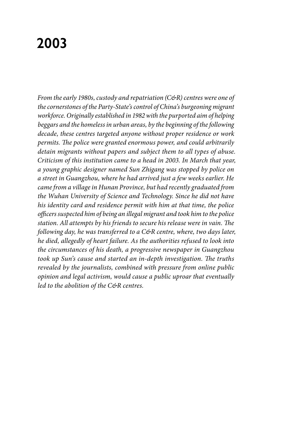# **2003**

*From the early 1980s, custody and repatriation (C&R) centres were one of the cornerstones of the Party-State's control of China's burgeoning migrant workforce. Originally established in 1982 with the purported aim of helping beggars and the homeless in urban areas, by the beginning of the following decade, these centres targeted anyone without proper residence or work permits. The police were granted enormous power, and could arbitrarily detain migrants without papers and subject them to all types of abuse. Criticism of this institution came to a head in 2003. In March that year, a young graphic designer named Sun Zhigang was stopped by police on a street in Guangzhou, where he had arrived just a few weeks earlier. He came from a village in Hunan Province, but had recently graduated from the Wuhan University of Science and Technology. Since he did not have his identity card and residence permit with him at that time, the police officers suspected him of being an illegal migrant and took him to the police station. All attempts by his friends to secure his release were in vain. The following day, he was transferred to a C&R centre, where, two days later, he died, allegedly of heart failure. As the authorities refused to look into the circumstances of his death, a progressive newspaper in Guangzhou took up Sun's cause and started an in-depth investigation. The truths revealed by the journalists, combined with pressure from online public opinion and legal activism, would cause a public uproar that eventually led to the abolition of the C&R centres.*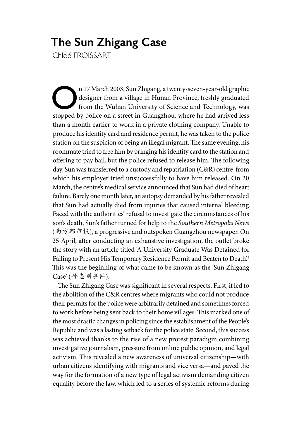# **The Sun Zhigang Case**

Chloé FROISSART

n 17 March 2003, Sun Zhigang, a twenty-seven-year-old graphic<br>designer from a village in Hunan Province, freshly graduated<br>from the Wuhan University of Science and Technology, was<br>stopped by police on a street in Guangzhou designer from a village in Hunan Province, freshly graduated from the Wuhan University of Science and Technology, was stopped by police on a street in Guangzhou, where he had arrived less than a month earlier to work in a private clothing company. Unable to produce his identity card and residence permit, he was taken to the police station on the suspicion of being an illegal migrant. The same evening, his roommate tried to free him by bringing his identity card to the station and offering to pay bail, but the police refused to release him. The following day, Sun was transferred to a custody and repatriation (C&R) centre, from which his employer tried unsuccessfully to have him released. On 20 March, the centre's medical service announced that Sun had died of heart failure. Barely one month later, an autopsy demanded by his father revealed that Sun had actually died from injuries that caused internal bleeding. Faced with the authorities' refusal to investigate the circumstances of his son's death, Sun's father turned for help to the *Southern Metropolis News*  (南方都市报), a progressive and outspoken Guangzhou newspaper. On 25 April, after conducting an exhaustive investigation, the outlet broke the story with an article titled 'A University Graduate Was Detained for Failing to Present His Temporary Residence Permit and Beaten to Death.<sup>1</sup> This was the beginning of what came to be known as the 'Sun Zhigang Case' (孙志刚事件).

The Sun Zhigang Case was significant in several respects. First, it led to the abolition of the C&R centres where migrants who could not produce their permits for the police were arbitrarily detained and sometimes forced to work before being sent back to their home villages. This marked one of the most drastic changes in policing since the establishment of the People's Republic and was a lasting setback for the police state. Second, this success was achieved thanks to the rise of a new protest paradigm combining investigative journalism, pressure from online public opinion, and legal activism. This revealed a new awareness of universal citizenship—with urban citizens identifying with migrants and vice versa—and paved the way for the formation of a new type of legal activism demanding citizen equality before the law, which led to a series of systemic reforms during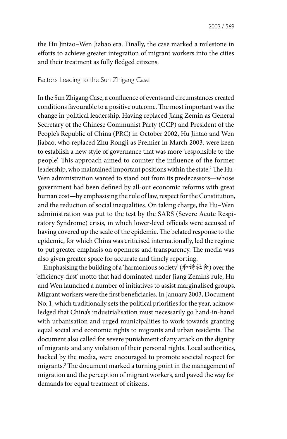the Hu Jintao–Wen Jiabao era. Finally, the case marked a milestone in efforts to achieve greater integration of migrant workers into the cities and their treatment as fully fledged citizens.

# Factors Leading to the Sun Zhigang Case

In the Sun Zhigang Case, a confluence of events and circumstances created conditions favourable to a positive outcome. The most important was the change in political leadership. Having replaced Jiang Zemin as General Secretary of the Chinese Communist Party (CCP) and President of the People's Republic of China (PRC) in October 2002, Hu Jintao and Wen Jiabao, who replaced Zhu Rongji as Premier in March 2003, were keen to establish a new style of governance that was more 'responsible to the people'. This approach aimed to counter the influence of the former leadership, who maintained important positions within the state.<sup>2</sup> The Hu– Wen administration wanted to stand out from its predecessors—whose government had been defined by all-out economic reforms with great human cost—by emphasising the rule of law, respect for the Constitution, and the reduction of social inequalities. On taking charge, the Hu–Wen administration was put to the test by the SARS (Severe Acute Respiratory Syndrome) crisis, in which lower-level officials were accused of having covered up the scale of the epidemic. The belated response to the epidemic, for which China was criticised internationally, led the regime to put greater emphasis on openness and transparency. The media was also given greater space for accurate and timely reporting.

Emphasising the building of a 'harmonious society' (和谐社会) over the 'efficiency-first' motto that had dominated under Jiang Zemin's rule, Hu and Wen launched a number of initiatives to assist marginalised groups. Migrant workers were the first beneficiaries. In January 2003, Document No. 1, which traditionally sets the political priorities for the year, acknowledged that China's industrialisation must necessarily go hand-in-hand with urbanisation and urged municipalities to work towards granting equal social and economic rights to migrants and urban residents. The document also called for severe punishment of any attack on the dignity of migrants and any violation of their personal rights. Local authorities, backed by the media, were encouraged to promote societal respect for migrants.3 The document marked a turning point in the management of migration and the perception of migrant workers, and paved the way for demands for equal treatment of citizens.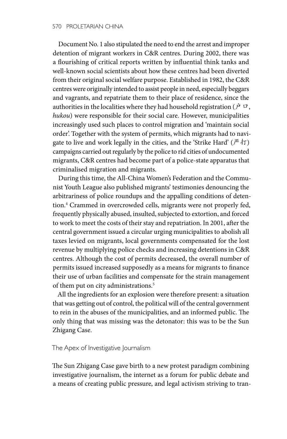Document No. 1 also stipulated the need to end the arrest and improper detention of migrant workers in C&R centres. During 2002, there was a flourishing of critical reports written by influential think tanks and well-known social scientists about how these centres had been diverted from their original social welfare purpose. Established in 1982, the C&R centres were originally intended to assist people in need, especially beggars and vagrants, and repatriate them to their place of residence, since the authorities in the localities where they had household registration ( $\dot{\mathcal{P}}$   $\Box$ , *hukou*) were responsible for their social care. However, municipalities increasingly used such places to control migration and 'maintain social order'. Together with the system of permits, which migrants had to navigate to live and work legally in the cities, and the 'Strike Hard' ( $\mathbb{P}$   $\uparrow$ T) campaigns carried out regularly by the police to rid cities of undocumented migrants, C&R centres had become part of a police-state apparatus that criminalised migration and migrants.

During this time, the All-China Women's Federation and the Communist Youth League also published migrants' testimonies denouncing the arbitrariness of police roundups and the appalling conditions of detention.4 Crammed in overcrowded cells, migrants were not properly fed, frequently physically abused, insulted, subjected to extortion, and forced to work to meet the costs of their stay and repatriation. In 2001, after the central government issued a circular urging municipalities to abolish all taxes levied on migrants, local governments compensated for the lost revenue by multiplying police checks and increasing detentions in C&R centres. Although the cost of permits decreased, the overall number of permits issued increased supposedly as a means for migrants to finance their use of urban facilities and compensate for the strain management of them put on city administrations.<sup>5</sup>

All the ingredients for an explosion were therefore present: a situation that was getting out of control, the political will of the central government to rein in the abuses of the municipalities, and an informed public. The only thing that was missing was the detonator: this was to be the Sun Zhigang Case.

### The Apex of Investigative Journalism

The Sun Zhigang Case gave birth to a new protest paradigm combining investigative journalism, the internet as a forum for public debate and a means of creating public pressure, and legal activism striving to tran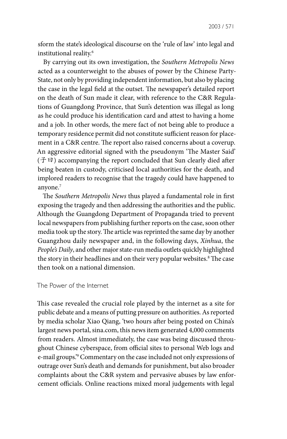sform the state's ideological discourse on the 'rule of law' into legal and institutional reality.6

By carrying out its own investigation, the *Southern Metropolis News* acted as a counterweight to the abuses of power by the Chinese Party-State, not only by providing independent information, but also by placing the case in the legal field at the outset. The newspaper's detailed report on the death of Sun made it clear, with reference to the C&R Regulations of Guangdong Province, that Sun's detention was illegal as long as he could produce his identification card and attest to having a home and a job. In other words, the mere fact of not being able to produce a temporary residence permit did not constitute sufficient reason for placement in a C&R centre. The report also raised concerns about a coverup. An aggressive editorial signed with the pseudonym 'The Master Said' (子曰) accompanying the report concluded that Sun clearly died after being beaten in custody, criticised local authorities for the death, and implored readers to recognise that the tragedy could have happened to anyone.<sup>7</sup>

The *Southern Metropolis News* thus played a fundamental role in first exposing the tragedy and then addressing the authorities and the public. Although the Guangdong Department of Propaganda tried to prevent local newspapers from publishing further reports on the case, soon other media took up the story. The article was reprinted the same day by another Guangzhou daily newspaper and, in the following days, *Xinhua*, the *People's Daily*, and other major state-run media outlets quickly highlighted the story in their headlines and on their very popular websites.<sup>8</sup> The case then took on a national dimension.

#### The Power of the Internet

This case revealed the crucial role played by the internet as a site for public debate and a means of putting pressure on authorities. As reported by media scholar Xiao Qiang, 'two hours after being posted on China's largest news portal, sina.com, this news item generated 4,000 comments from readers. Almost immediately, the case was being discussed throughout Chinese cyberspace, from official sites to personal Web logs and e-mail groups.'9 Commentary on the case included not only expressions of outrage over Sun's death and demands for punishment, but also broader complaints about the C&R system and pervasive abuses by law enforcement officials. Online reactions mixed moral judgements with legal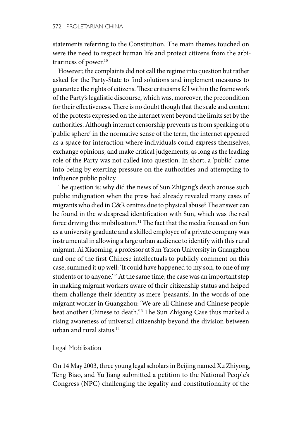statements referring to the Constitution. The main themes touched on were the need to respect human life and protect citizens from the arbitrariness of power.<sup>10</sup>

However, the complaints did not call the regime into question but rather asked for the Party-State to find solutions and implement measures to guarantee the rights of citizens. These criticisms fell within the framework of the Party's legalistic discourse, which was, moreover, the precondition for their effectiveness. There is no doubt though that the scale and content of the protests expressed on the internet went beyond the limits set by the authorities. Although internet censorship prevents us from speaking of a 'public sphere' in the normative sense of the term, the internet appeared as a space for interaction where individuals could express themselves, exchange opinions, and make critical judgements, as long as the leading role of the Party was not called into question. In short, a 'public' came into being by exerting pressure on the authorities and attempting to influence public policy.

The question is: why did the news of Sun Zhigang's death arouse such public indignation when the press had already revealed many cases of migrants who died in C&R centres due to physical abuse? The answer can be found in the widespread identification with Sun, which was the real force driving this mobilisation.<sup>11</sup> The fact that the media focused on Sun as a university graduate and a skilled employee of a private company was instrumental in allowing a large urban audience to identify with this rural migrant. Ai Xiaoming, a professor at Sun Yatsen University in Guangzhou and one of the first Chinese intellectuals to publicly comment on this case, summed it up well: 'It could have happened to my son, to one of my students or to anyone.<sup>'12</sup> At the same time, the case was an important step in making migrant workers aware of their citizenship status and helped them challenge their identity as mere 'peasants'. In the words of one migrant worker in Guangzhou: 'We are all Chinese and Chinese people beat another Chinese to death.'13 The Sun Zhigang Case thus marked a rising awareness of universal citizenship beyond the division between urban and rural status.14

# Legal Mobilisation

On 14 May 2003, three young legal scholars in Beijing named Xu Zhiyong, Teng Biao, and Yu Jiang submitted a petition to the National People's Congress (NPC) challenging the legality and constitutionality of the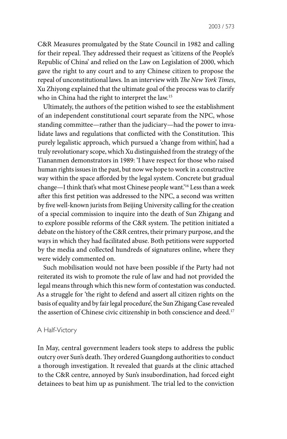C&R Measures promulgated by the State Council in 1982 and calling for their repeal. They addressed their request as 'citizens of the People's Republic of China' and relied on the Law on Legislation of 2000, which gave the right to any court and to any Chinese citizen to propose the repeal of unconstitutional laws. In an interview with *The New York Times*, Xu Zhiyong explained that the ultimate goal of the process was to clarify who in China had the right to interpret the law.15

Ultimately, the authors of the petition wished to see the establishment of an independent constitutional court separate from the NPC, whose standing committee—rather than the judiciary—had the power to invalidate laws and regulations that conflicted with the Constitution. This purely legalistic approach, which pursued a 'change from within', had a truly revolutionary scope, which Xu distinguished from the strategy of the Tiananmen demonstrators in 1989: 'I have respect for those who raised human rights issues in the past, but now we hope to work in a constructive way within the space afforded by the legal system. Concrete but gradual change—I think that's what most Chinese people want.'16 Less than a week after this first petition was addressed to the NPC, a second was written by five well-known jurists from Beijing University calling for the creation of a special commission to inquire into the death of Sun Zhigang and to explore possible reforms of the C&R system. The petition initiated a debate on the history of the C&R centres, their primary purpose, and the ways in which they had facilitated abuse. Both petitions were supported by the media and collected hundreds of signatures online, where they were widely commented on.

Such mobilisation would not have been possible if the Party had not reiterated its wish to promote the rule of law and had not provided the legal means through which this new form of contestation was conducted. As a struggle for 'the right to defend and assert all citizen rights on the basis of equality and by fair legal procedure', the Sun Zhigang Case revealed the assertion of Chinese civic citizenship in both conscience and deed.<sup>17</sup>

### A Half-Victory

In May, central government leaders took steps to address the public outcry over Sun's death. They ordered Guangdong authorities to conduct a thorough investigation. It revealed that guards at the clinic attached to the C&R centre, annoyed by Sun's insubordination, had forced eight detainees to beat him up as punishment. The trial led to the conviction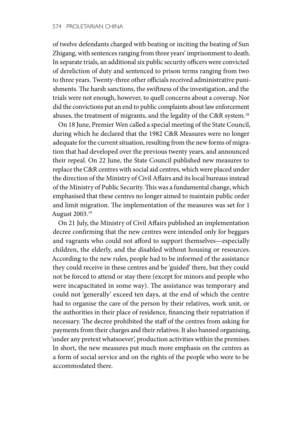of twelve defendants charged with beating or inciting the beating of Sun Zhigang, with sentences ranging from three years' imprisonment to death. In separate trials, an additional six public security officers were convicted of dereliction of duty and sentenced to prison terms ranging from two to three years. Twenty-three other officials received administrative punishments. The harsh sanctions, the swiftness of the investigation, and the trials were not enough, however, to quell concerns about a coverup. Nor did the convictions put an end to public complaints about law enforcement abuses, the treatment of migrants, and the legality of the C&R system.18

On 18 June, Premier Wen called a special meeting of the State Council, during which he declared that the 1982 C&R Measures were no longer adequate for the current situation, resulting from the new forms of migration that had developed over the previous twenty years, and announced their repeal. On 22 June, the State Council published new measures to replace the C&R centres with social aid centres, which were placed under the direction of the Ministry of Civil Affairs and its local bureaus instead of the Ministry of Public Security. This was a fundamental change, which emphasised that these centres no longer aimed to maintain public order and limit migration. The implementation of the measures was set for 1 August 2003.19

On 21 July, the Ministry of Civil Affairs published an implementation decree confirming that the new centres were intended only for beggars and vagrants who could not afford to support themselves—especially children, the elderly, and the disabled without housing or resources. According to the new rules, people had to be informed of the assistance they could receive in these centres and be 'guided' there, but they could not be forced to attend or stay there (except for minors and people who were incapacitated in some way). The assistance was temporary and could not 'generally' exceed ten days, at the end of which the centre had to organise the care of the person by their relatives, work unit, or the authorities in their place of residence, financing their repatriation if necessary. The decree prohibited the staff of the centres from asking for payments from their charges and their relatives. It also banned organising, 'under any pretext whatsoever', production activities within the premises. In short, the new measures put much more emphasis on the centres as a form of social service and on the rights of the people who were to be accommodated there.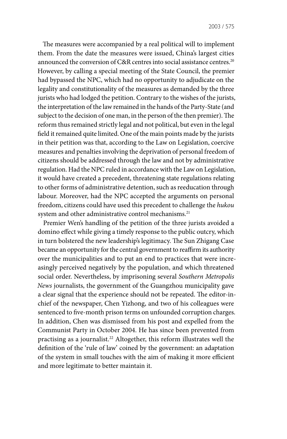The measures were accompanied by a real political will to implement them. From the date the measures were issued, China's largest cities announced the conversion of C&R centres into social assistance centres.<sup>20</sup> However, by calling a special meeting of the State Council, the premier had bypassed the NPC, which had no opportunity to adjudicate on the legality and constitutionality of the measures as demanded by the three jurists who had lodged the petition. Contrary to the wishes of the jurists, the interpretation of the law remained in the hands of the Party-State (and subject to the decision of one man, in the person of the then premier). The reform thus remained strictly legal and not political, but even in the legal field it remained quite limited. One of the main points made by the jurists in their petition was that, according to the Law on Legislation, coercive measures and penalties involving the deprivation of personal freedom of citizens should be addressed through the law and not by administrative regulation. Had the NPC ruled in accordance with the Law on Legislation, it would have created a precedent, threatening state regulations relating to other forms of administrative detention, such as reeducation through labour. Moreover, had the NPC accepted the arguments on personal freedom, citizens could have used this precedent to challenge the *hukou* system and other administrative control mechanisms.<sup>21</sup>

Premier Wen's handling of the petition of the three jurists avoided a domino effect while giving a timely response to the public outcry, which in turn bolstered the new leadership's legitimacy. The Sun Zhigang Case became an opportunity for the central government to reaffirm its authority over the municipalities and to put an end to practices that were increasingly perceived negatively by the population, and which threatened social order. Nevertheless, by imprisoning several *Southern Metropolis News* journalists, the government of the Guangzhou municipality gave a clear signal that the experience should not be repeated. The editor-inchief of the newspaper, Chen Yizhong, and two of his colleagues were sentenced to five-month prison terms on unfounded corruption charges. In addition, Chen was dismissed from his post and expelled from the Communist Party in October 2004. He has since been prevented from practising as a journalist.<sup>22</sup> Altogether, this reform illustrates well the definition of the 'rule of law' coined by the government: an adaptation of the system in small touches with the aim of making it more efficient and more legitimate to better maintain it.